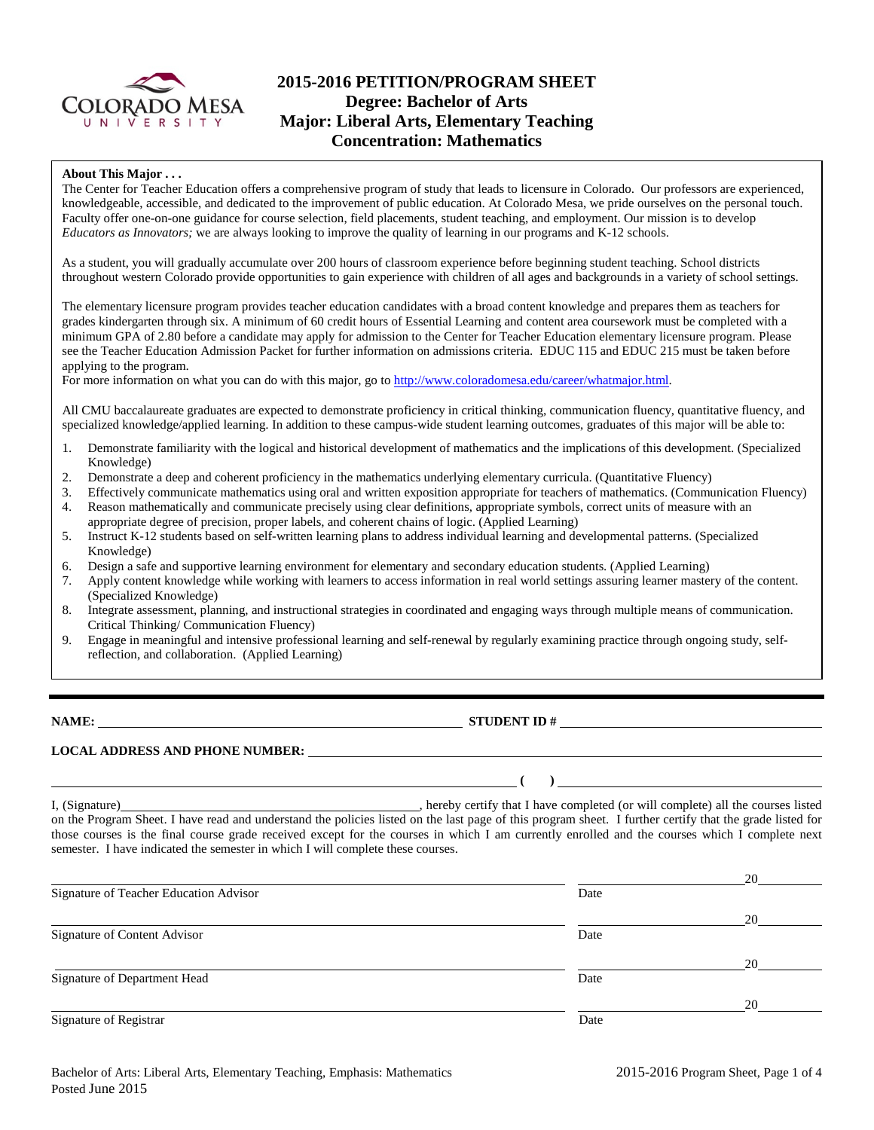

# **2015-2016 PETITION/PROGRAM SHEET Degree: Bachelor of Arts Major: Liberal Arts, Elementary Teaching Concentration: Mathematics**

#### **About This Major . . .**

The Center for Teacher Education offers a comprehensive program of study that leads to licensure in Colorado. Our professors are experienced, knowledgeable, accessible, and dedicated to the improvement of public education. At Colorado Mesa, we pride ourselves on the personal touch. Faculty offer one-on-one guidance for course selection, field placements, student teaching, and employment. Our mission is to develop *Educators as Innovators;* we are always looking to improve the quality of learning in our programs and K-12 schools.

As a student, you will gradually accumulate over 200 hours of classroom experience before beginning student teaching. School districts throughout western Colorado provide opportunities to gain experience with children of all ages and backgrounds in a variety of school settings.

The elementary licensure program provides teacher education candidates with a broad content knowledge and prepares them as teachers for grades kindergarten through six. A minimum of 60 credit hours of Essential Learning and content area coursework must be completed with a minimum GPA of 2.80 before a candidate may apply for admission to the Center for Teacher Education elementary licensure program. Please see the Teacher Education Admission Packet for further information on admissions criteria. EDUC 115 and EDUC 215 must be taken before applying to the program.

For more information on what you can do with this major, go to [http://www.coloradomesa.edu/career/whatmajor.html.](http://www.coloradomesa.edu/career/whatmajor.html)

All CMU baccalaureate graduates are expected to demonstrate proficiency in critical thinking, communication fluency, quantitative fluency, and specialized knowledge/applied learning. In addition to these campus-wide student learning outcomes, graduates of this major will be able to:

- 1. Demonstrate familiarity with the logical and historical development of mathematics and the implications of this development. (Specialized Knowledge)
- 2. Demonstrate a deep and coherent proficiency in the mathematics underlying elementary curricula. (Quantitative Fluency)
- 3. Effectively communicate mathematics using oral and written exposition appropriate for teachers of mathematics. (Communication Fluency)
- 4. Reason mathematically and communicate precisely using clear definitions, appropriate symbols, correct units of measure with an
- appropriate degree of precision, proper labels, and coherent chains of logic. (Applied Learning)
- 5. Instruct K-12 students based on self-written learning plans to address individual learning and developmental patterns. (Specialized Knowledge)
- 6. Design a safe and supportive learning environment for elementary and secondary education students. (Applied Learning)
- 7. Apply content knowledge while working with learners to access information in real world settings assuring learner mastery of the content. (Specialized Knowledge)
- 8. Integrate assessment, planning, and instructional strategies in coordinated and engaging ways through multiple means of communication. Critical Thinking/ Communication Fluency)
- 9. Engage in meaningful and intensive professional learning and self-renewal by regularly examining practice through ongoing study, selfreflection, and collaboration. (Applied Learning)

**NAME: STUDENT ID #** 

**(** )

## **LOCAL ADDRESS AND PHONE NUMBER:**

I, (Signature) , hereby certify that I have completed (or will complete) all the courses listed on the Program Sheet. I have read and understand the policies listed on the last page of this program sheet. I further certify that the grade listed for those courses is the final course grade received except for the courses in which I am currently enrolled and the courses which I complete next semester. I have indicated the semester in which I will complete these courses.

|                                        |      | 20 |
|----------------------------------------|------|----|
| Signature of Teacher Education Advisor | Date |    |
|                                        |      | 20 |
| Signature of Content Advisor           | Date |    |
|                                        |      | 20 |
| Signature of Department Head           | Date |    |
|                                        |      | 20 |
| Signature of Registrar                 | Date |    |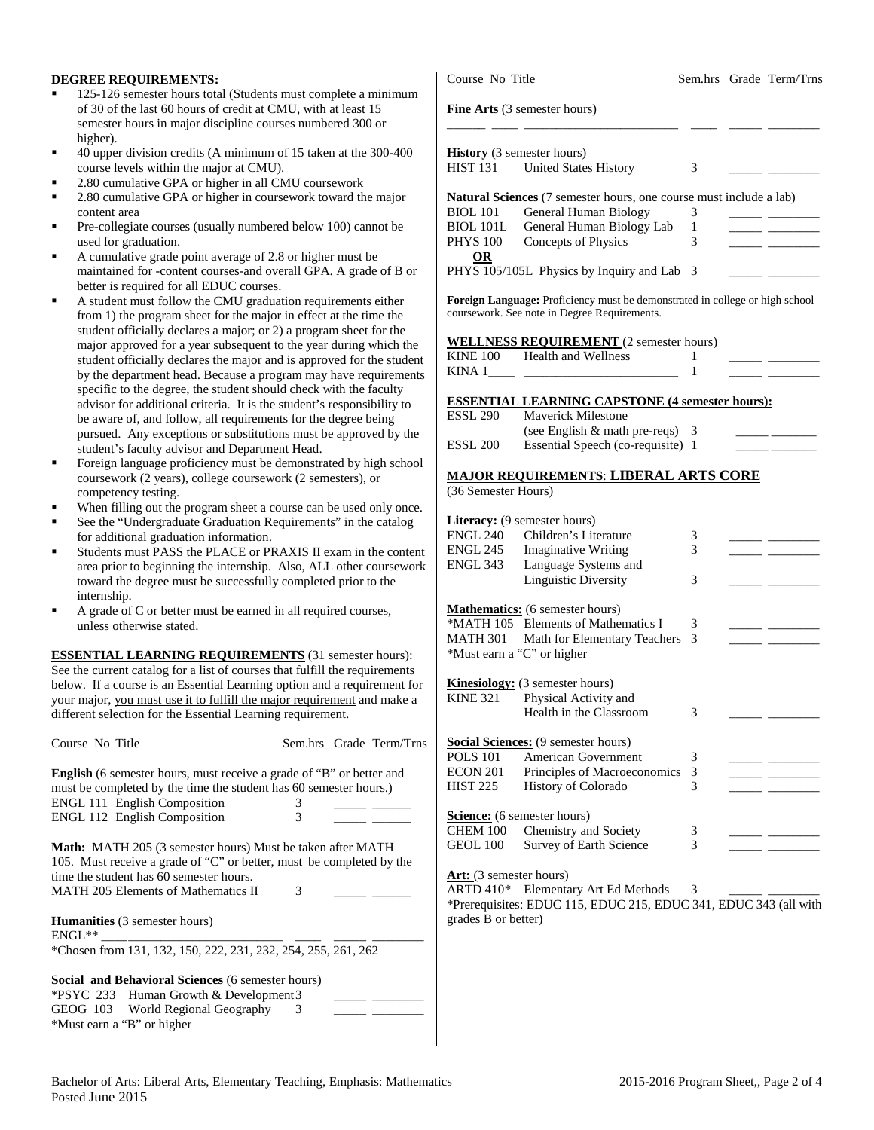### **DEGREE REQUIREMENTS:**

- 125-126 semester hours total (Students must complete a minimum of 30 of the last 60 hours of credit at CMU, with at least 15 semester hours in major discipline courses numbered 300 or higher).
- 40 upper division credits (A minimum of 15 taken at the 300-400 course levels within the major at CMU).
- 2.80 cumulative GPA or higher in all CMU coursework
- 2.80 cumulative GPA or higher in coursework toward the major content area
- Pre-collegiate courses (usually numbered below 100) cannot be used for graduation.
- A cumulative grade point average of 2.8 or higher must be maintained for -content courses-and overall GPA. A grade of B or better is required for all EDUC courses.
- A student must follow the CMU graduation requirements either from 1) the program sheet for the major in effect at the time the student officially declares a major; or 2) a program sheet for the major approved for a year subsequent to the year during which the student officially declares the major and is approved for the student by the department head. Because a program may have requirements specific to the degree, the student should check with the faculty advisor for additional criteria. It is the student's responsibility to be aware of, and follow, all requirements for the degree being pursued. Any exceptions or substitutions must be approved by the student's faculty advisor and Department Head.
- Foreign language proficiency must be demonstrated by high school coursework (2 years), college coursework (2 semesters), or competency testing.
- When filling out the program sheet a course can be used only once.
- See the "Undergraduate Graduation Requirements" in the catalog for additional graduation information.
- Students must PASS the PLACE or PRAXIS II exam in the content area prior to beginning the internship. Also, ALL other coursework toward the degree must be successfully completed prior to the internship.
- A grade of C or better must be earned in all required courses, unless otherwise stated.

**ESSENTIAL LEARNING REQUIREMENTS** (31 semester hours): See the current catalog for a list of courses that fulfill the requirements below. If a course is an Essential Learning option and a requirement for your major, you must use it to fulfill the major requirement and make a different selection for the Essential Learning requirement.

| Course No Title                                                                                                                                                                                                                         | Sem.hrs Grade Term/Trns |  |  |  |  |  |  |
|-----------------------------------------------------------------------------------------------------------------------------------------------------------------------------------------------------------------------------------------|-------------------------|--|--|--|--|--|--|
| <b>English</b> (6 semester hours, must receive a grade of "B" or better and<br>must be completed by the time the student has 60 semester hours.)<br><b>ENGL 111 English Composition</b><br>3                                            |                         |  |  |  |  |  |  |
| ENGL 112 English Composition                                                                                                                                                                                                            | 3                       |  |  |  |  |  |  |
| <b>Math:</b> MATH 205 (3 semester hours) Must be taken after MATH<br>105. Must receive a grade of "C" or better, must be completed by the<br>time the student has 60 semester hours.<br><b>MATH 205 Elements of Mathematics II</b><br>3 |                         |  |  |  |  |  |  |
| <b>Humanities</b> (3 semester hours)<br>$ENGL**$                                                                                                                                                                                        |                         |  |  |  |  |  |  |
| *Chosen from 131, 132, 150, 222, 231, 232, 254, 255, 261, 262                                                                                                                                                                           |                         |  |  |  |  |  |  |
| <b>Social and Behavioral Sciences</b> (6 semester hours)                                                                                                                                                                                |                         |  |  |  |  |  |  |
| *PSYC 233 Human Growth & Development 3                                                                                                                                                                                                  |                         |  |  |  |  |  |  |
| GEOG 103 World Regional Geography                                                                                                                                                                                                       | 3                       |  |  |  |  |  |  |

| <b>Fine Arts</b> (3 semester hours) |                                                                           |   |  |  |  |  |
|-------------------------------------|---------------------------------------------------------------------------|---|--|--|--|--|
| <b>History</b> (3 semester hours)   |                                                                           |   |  |  |  |  |
| HIST 131                            | <b>United States History</b>                                              | 3 |  |  |  |  |
|                                     | <b>Natural Sciences</b> (7 semester hours, one course must include a lab) |   |  |  |  |  |
| <b>BIOL 101</b>                     | General Human Biology                                                     | 3 |  |  |  |  |
|                                     | BIOL 101L General Human Biology Lab                                       | 1 |  |  |  |  |
| <b>PHYS 100</b>                     | Concepts of Physics                                                       | 3 |  |  |  |  |
| OR                                  |                                                                           |   |  |  |  |  |
|                                     | PHYS 105/105L Physics by Inquiry and Lab 3                                |   |  |  |  |  |

Course No Title Sem.hrs Grade Term/Trns

**Foreign Language:** Proficiency must be demonstrated in college or high school coursework. See note in Degree Requirements.

#### **WELLNESS REQUIREMENT** (2 semester hours)

| KINE 100 | Health and Wellness |  |  |
|----------|---------------------|--|--|
| KINA     |                     |  |  |

#### **ESSENTIAL LEARNING CAPSTONE (4 semester hours):**

| <b>ESSL 290</b>     | <b>Maverick Milestone</b>          |  |
|---------------------|------------------------------------|--|
|                     | (see English $\&$ math pre-reqs) 3 |  |
| ESSL <sub>200</sub> | Essential Speech (co-requisite) 1  |  |

## **MAJOR REQUIREMENTS**: **LIBERAL ARTS CORE**

(36 Semester Hours)

|                                    | <b>Literacy:</b> (9 semester hours)        |                          |  |
|------------------------------------|--------------------------------------------|--------------------------|--|
| ENGL 240                           | Children's Literature                      | 3                        |  |
| ENGL 245                           | <b>Imaginative Writing</b>                 | 3                        |  |
| ENGL 343                           | Language Systems and                       |                          |  |
|                                    | Linguistic Diversity                       | 3                        |  |
|                                    |                                            |                          |  |
|                                    | <b>Mathematics:</b> (6 semester hours)     |                          |  |
|                                    | *MATH 105 Elements of Mathematics I        | 3                        |  |
|                                    | MATH 301 Math for Elementary Teachers      | 3                        |  |
| *Must earn a "C" or higher         |                                            |                          |  |
|                                    | <b>Kinesiology:</b> (3 semester hours)     |                          |  |
| KINE 321                           | Physical Activity and                      |                          |  |
|                                    | Health in the Classroom                    | 3                        |  |
|                                    | <b>Social Sciences:</b> (9 semester hours) |                          |  |
| <b>POLS</b> 101                    | American Government                        | 3                        |  |
| ECON 201                           | Principles of Macroeconomics               | 3                        |  |
| HIST 225                           | History of Colorado                        | 3                        |  |
| <b>Science:</b> (6 semester hours) |                                            |                          |  |
| CHEM 100                           | Chemistry and Society                      | 3                        |  |
| GEOL 100                           | Survey of Earth Science                    | $\overline{\mathcal{E}}$ |  |
| Art: (3 semester hours)            | .                                          |                          |  |

ARTD  $410^*$  Elementary Art Ed Methods  $3$ \*Prerequisites: EDUC 115, EDUC 215, EDUC 341, EDUC 343 (all with grades B or better)

\*Must earn a "B" or higher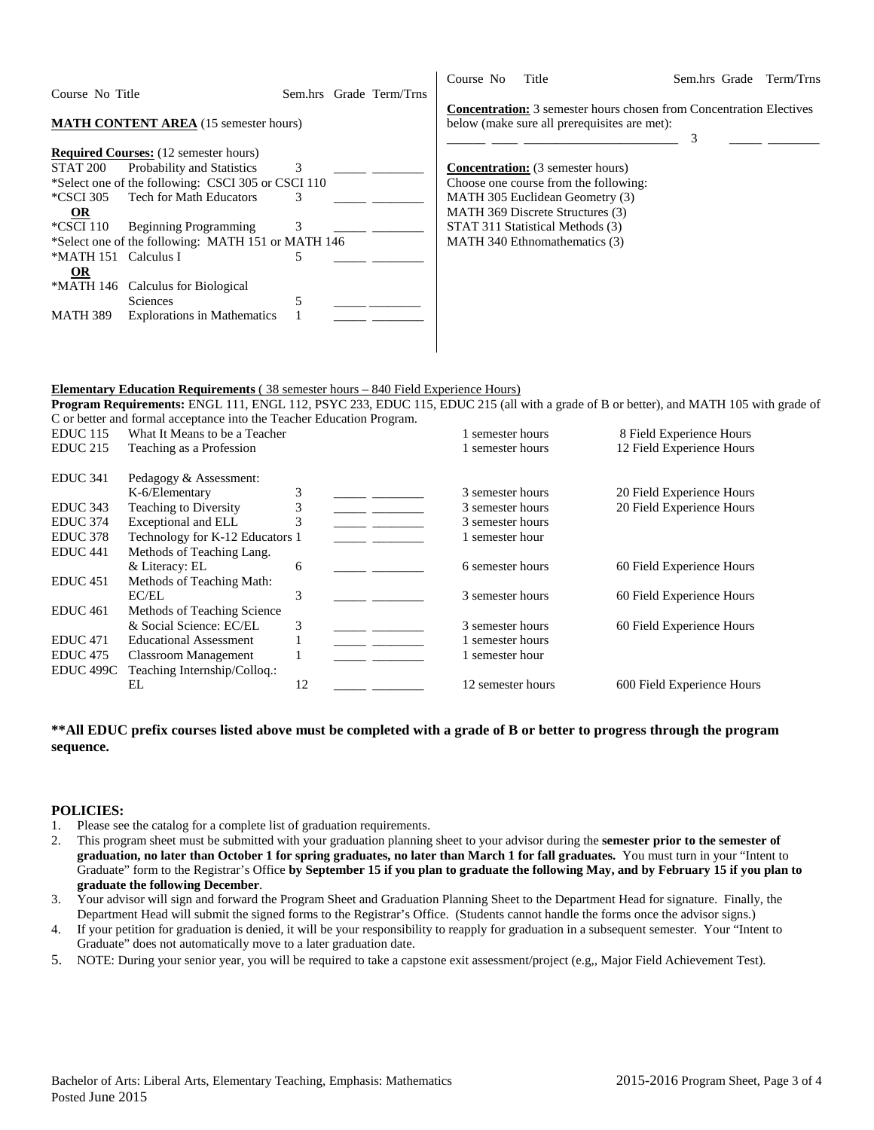|                        |                                                    |   |                         | Course No | Title                                                                      | Sem.hrs Grade | Term/Trns |
|------------------------|----------------------------------------------------|---|-------------------------|-----------|----------------------------------------------------------------------------|---------------|-----------|
| Course No Title        |                                                    |   | Sem.hrs Grade Term/Trns |           |                                                                            |               |           |
|                        |                                                    |   |                         |           | <b>Concentration:</b> 3 semester hours chosen from Concentration Electives |               |           |
|                        | <b>MATH CONTENT AREA</b> (15 semester hours)       |   |                         |           | below (make sure all prerequisites are met):                               |               |           |
|                        |                                                    |   |                         |           |                                                                            | 3             |           |
|                        | <b>Required Courses:</b> (12 semester hours)       |   |                         |           |                                                                            |               |           |
| STAT 200               | <b>Probability and Statistics</b>                  | 3 |                         |           | <b>Concentration:</b> (3 semester hours)                                   |               |           |
|                        | *Select one of the following: CSCI 305 or CSCI 110 |   |                         |           | Choose one course from the following:                                      |               |           |
| *CSCI 305              | <b>Tech for Math Educators</b>                     | 3 |                         |           | MATH 305 Euclidean Geometry (3)                                            |               |           |
| $\Omega$               |                                                    |   |                         |           | MATH 369 Discrete Structures (3)                                           |               |           |
| *CSCI 110              | <b>Beginning Programming</b>                       | 3 |                         |           | STAT 311 Statistical Methods (3)                                           |               |           |
|                        | *Select one of the following: MATH 151 or MATH 146 |   |                         |           | MATH 340 Ethnomathematics (3)                                              |               |           |
| *MATH 151 Calculus I   |                                                    |   |                         |           |                                                                            |               |           |
| $\overline{\text{OR}}$ |                                                    |   |                         |           |                                                                            |               |           |
| *MATH 146              | Calculus for Biological                            |   |                         |           |                                                                            |               |           |
|                        | <b>Sciences</b>                                    |   |                         |           |                                                                            |               |           |
| <b>MATH 389</b>        | <b>Explorations in Mathematics</b>                 |   |                         |           |                                                                            |               |           |
|                        |                                                    |   |                         |           |                                                                            |               |           |
|                        |                                                    |   |                         |           |                                                                            |               |           |

### **Elementary Education Requirements** ( 38 semester hours – 840 Field Experience Hours)

**Program Requirements:** ENGL 111, ENGL 112, PSYC 233, EDUC 115, EDUC 215 (all with a grade of B or better), and MATH 105 with grade of C or better and formal acceptance into the Teacher Education Program.

| EDUC <sub>115</sub>  | What It Means to be a Teacher   |    | 1 semester hours  | 8 Field Experience Hours   |
|----------------------|---------------------------------|----|-------------------|----------------------------|
| <b>EDUC 215</b>      | Teaching as a Profession        |    | 1 semester hours  | 12 Field Experience Hours  |
| <b>EDUC 341</b>      | Pedagogy & Assessment:          |    |                   |                            |
|                      | K-6/Elementary                  | 3  | 3 semester hours  | 20 Field Experience Hours  |
| EDUC 343             | <b>Teaching to Diversity</b>    | 3  | 3 semester hours  | 20 Field Experience Hours  |
| <b>EDUC 374</b>      | Exceptional and ELL             | 3  | 3 semester hours  |                            |
| EDUC <sub>378</sub>  | Technology for K-12 Educators 1 |    | 1 semester hour   |                            |
| EDUC <sub>441</sub>  | Methods of Teaching Lang.       |    |                   |                            |
|                      | & Literacy: EL                  | 6  | 6 semester hours  | 60 Field Experience Hours  |
| EDUC <sub>451</sub>  | Methods of Teaching Math:       |    |                   |                            |
|                      | EC/EL                           | 3  | 3 semester hours  | 60 Field Experience Hours  |
| EDUC <sub>461</sub>  | Methods of Teaching Science     |    |                   |                            |
|                      | & Social Science: EC/EL         | 3  | 3 semester hours  | 60 Field Experience Hours  |
| <b>EDUC</b> 471      | <b>Educational Assessment</b>   |    | semester hours    |                            |
| <b>EDUC</b> 475      | <b>Classroom Management</b>     |    | semester hour     |                            |
| EDUC <sub>499C</sub> | Teaching Internship/Colloq.:    |    |                   |                            |
|                      | EL                              | 12 | 12 semester hours | 600 Field Experience Hours |
|                      |                                 |    |                   |                            |

## **\*\*All EDUC prefix courses listed above must be completed with a grade of B or better to progress through the program sequence.**

### **POLICIES:**

- 1. Please see the catalog for a complete list of graduation requirements.
- 2. This program sheet must be submitted with your graduation planning sheet to your advisor during the **semester prior to the semester of graduation, no later than October 1 for spring graduates, no later than March 1 for fall graduates.** You must turn in your "Intent to Graduate" form to the Registrar's Office **by September 15 if you plan to graduate the following May, and by February 15 if you plan to graduate the following December**.
- 3. Your advisor will sign and forward the Program Sheet and Graduation Planning Sheet to the Department Head for signature. Finally, the Department Head will submit the signed forms to the Registrar's Office. (Students cannot handle the forms once the advisor signs.)
- 4. If your petition for graduation is denied, it will be your responsibility to reapply for graduation in a subsequent semester. Your "Intent to Graduate" does not automatically move to a later graduation date.
- 5. NOTE: During your senior year, you will be required to take a capstone exit assessment/project (e.g,, Major Field Achievement Test).